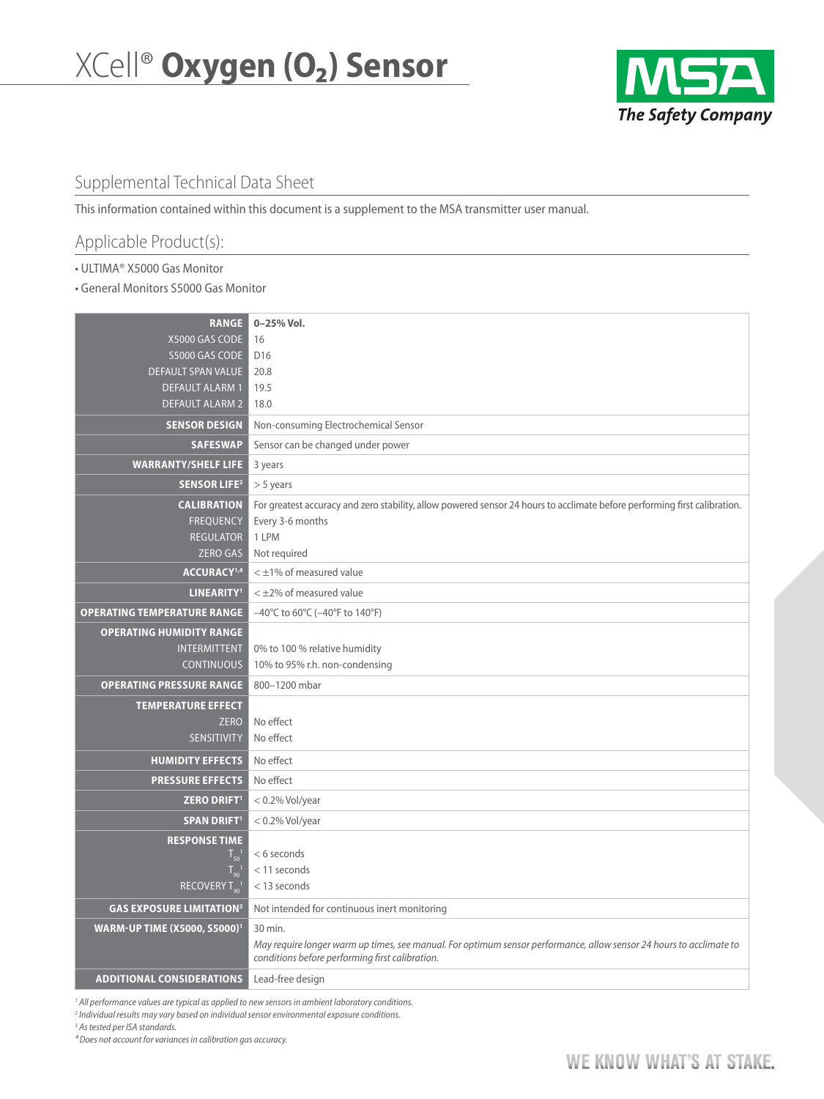

## Supplemental Technical Data Sheet

This information contained within this document is a supplement to the MSA transmitter user manual.

# Applicable Product(s):

• ULTIMA® X5000 Gas Monitor

• General Monitors S5000 Gas Monitor

| <b>RANGE</b>                        | 0-25% Vol.                                                                                                                                                             |
|-------------------------------------|------------------------------------------------------------------------------------------------------------------------------------------------------------------------|
| X5000 GAS CODE                      | 16                                                                                                                                                                     |
| S5000 GAS CODE                      | D <sub>16</sub>                                                                                                                                                        |
| DEFAULT SPAN VALUE                  | 20.8                                                                                                                                                                   |
| <b>DEFAULT ALARM1</b>               | 19.5                                                                                                                                                                   |
| <b>DEFAULT ALARM 2</b>              | 18.0                                                                                                                                                                   |
| <b>SENSOR DESIGN</b>                | Non-consuming Electrochemical Sensor                                                                                                                                   |
| <b>SAFESWAP</b>                     | Sensor can be changed under power                                                                                                                                      |
| <b>WARRANTY/SHELF LIFE</b>          | 3 years                                                                                                                                                                |
| <b>SENSOR LIFE<sup>2</sup></b>      | $> 5$ years                                                                                                                                                            |
| <b>CALIBRATION</b>                  | For greatest accuracy and zero stability, allow powered sensor 24 hours to acclimate before performing first calibration.                                              |
| <b>FREQUENCY</b>                    | Every 3-6 months                                                                                                                                                       |
| <b>REGULATOR</b>                    | 1 LPM                                                                                                                                                                  |
| <b>ZERO GAS</b>                     | Not required                                                                                                                                                           |
| ACCURACY <sup>1,4</sup>             | $<$ $\pm$ 1% of measured value                                                                                                                                         |
| <b>LINEARITY<sup>1</sup></b>        | $<$ $\pm$ 2% of measured value                                                                                                                                         |
| <b>OPERATING TEMPERATURE RANGE</b>  | $-40^{\circ}$ C to 60 $^{\circ}$ C ( $-40^{\circ}$ F to 140 $^{\circ}$ F)                                                                                              |
| <b>OPERATING HUMIDITY RANGE</b>     |                                                                                                                                                                        |
| <b>INTERMITTENT</b>                 | 0% to 100 % relative humidity                                                                                                                                          |
| <b>CONTINUOUS</b>                   | 10% to 95% r.h. non-condensing                                                                                                                                         |
| <b>OPERATING PRESSURE RANGE</b>     | 800-1200 mbar                                                                                                                                                          |
| <b>TEMPERATURE EFFECT</b>           |                                                                                                                                                                        |
| <b>ZERO</b>                         | No effect                                                                                                                                                              |
| <b>SENSITIVITY</b>                  | No effect                                                                                                                                                              |
| <b>HUMIDITY EFFECTS</b>             | No effect                                                                                                                                                              |
| <b>PRESSURE EFFECTS</b>             | No effect                                                                                                                                                              |
| <b>ZERO DRIFT'</b>                  | $< 0.2\%$ Vol/year                                                                                                                                                     |
| <b>SPAN DRIFT<sup>1</sup></b>       | $< 0.2\%$ Vol/year                                                                                                                                                     |
| <b>RESPONSE TIME</b>                |                                                                                                                                                                        |
| $T_{50}$                            | <6 seconds                                                                                                                                                             |
| $T_{\alpha\alpha}$                  | $<$ 11 seconds                                                                                                                                                         |
| RECOVERY T <sub>90</sub>            | < 13 seconds                                                                                                                                                           |
| <b>GAS EXPOSURE LIMITATION3</b>     | Not intended for continuous inert monitoring                                                                                                                           |
| <b>WARM-UP TIME (X5000, S5000)1</b> | 30 min.                                                                                                                                                                |
|                                     | May require longer warm up times, see manual. For optimum sensor performance, allow sensor 24 hours to acclimate to<br>conditions before performing first calibration. |
| <b>ADDITIONAL CONSIDERATIONS</b>    | Lead-free design                                                                                                                                                       |

*1 All performance values are typical as applied to new sensors in ambient laboratory conditions.*

*2 Individual results may vary based on individual sensor environmental exposure conditions.*

*3 As tested per ISA standards.*

*⁴ Does not account for variances in calibration gas accuracy.*